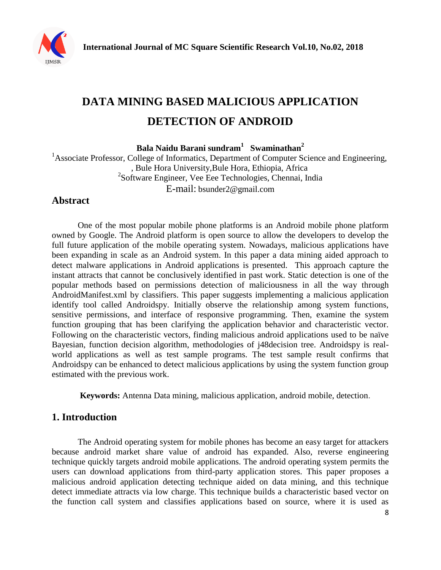

# **DATA MINING BASED MALICIOUS APPLICATION DETECTION OF ANDROID**

**Bala Naidu Barani sundram<sup>1</sup> Swaminathan<sup>2</sup>**

<sup>1</sup>Associate Professor, College of Informatics, Department of Computer Science and Engineering, , Bule Hora University,Bule Hora, Ethiopia, Africa 2 Software Engineer, Vee Eee Technologies, Chennai, India E-mail: [bsunder2@gmail.com](mailto:bsunder2@gmail.com)

## **Abstract**

One of the most popular mobile phone platforms is an Android mobile phone platform owned by Google. The Android platform is open source to allow the developers to develop the full future application of the mobile operating system. Nowadays, malicious applications have been expanding in scale as an Android system. In this paper a data mining aided approach to detect malware applications in Android applications is presented. This approach capture the instant attracts that cannot be conclusively identified in past work. Static detection is one of the popular methods based on permissions detection of maliciousness in all the way through AndroidManifest.xml by classifiers. This paper suggests implementing a malicious application identify tool called Androidspy. Initially observe the relationship among system functions, sensitive permissions, and interface of responsive programming. Then, examine the system function grouping that has been clarifying the application behavior and characteristic vector. Following on the characteristic vectors, finding malicious android applications used to be naïve Bayesian, function decision algorithm, methodologies of j48decision tree. Androidspy is realworld applications as well as test sample programs. The test sample result confirms that Androidspy can be enhanced to detect malicious applications by using the system function group estimated with the previous work.

**Keywords:** Antenna Data mining, malicious application, android mobile, detection.

## **1. Introduction**

The Android operating system for mobile phones has become an easy target for attackers because android market share value of android has expanded. Also, reverse engineering technique quickly targets android mobile applications. The android operating system permits the users can download applications from third-party application stores. This paper proposes a malicious android application detecting technique aided on data mining, and this technique detect immediate attracts via low charge. This technique builds a characteristic based vector on the function call system and classifies applications based on source, where it is used as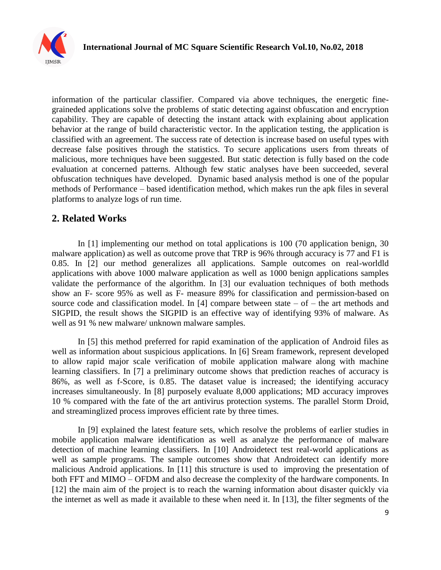

information of the particular classifier. Compared via above techniques, the energetic finegraineded applications solve the problems of static detecting against obfuscation and encryption capability. They are capable of detecting the instant attack with explaining about application behavior at the range of build characteristic vector. In the application testing, the application is classified with an agreement. The success rate of detection is increase based on useful types with decrease false positives through the statistics. To secure applications users from threats of malicious, more techniques have been suggested. But static detection is fully based on the code evaluation at concerned patterns. Although few static analyses have been succeeded, several obfuscation techniques have developed. Dynamic based analysis method is one of the popular methods of Performance – based identification method, which makes run the apk files in several platforms to analyze logs of run time.

#### **2. Related Works**

In [1] implementing our method on total applications is 100 (70 application benign, 30 malware application) as well as outcome prove that TRP is 96% through accuracy is 77 and F1 is 0.85. In [2] our method generalizes all applications. Sample outcomes on real-worldld applications with above 1000 malware application as well as 1000 benign applications samples validate the performance of the algorithm. In [3] our evaluation techniques of both methods show an F- score 95% as well as F- measure 89% for classification and permission-based on source code and classification model. In [4] compare between state  $-$  of  $-$  the art methods and SIGPID, the result shows the SIGPID is an effective way of identifying 93% of malware. As well as 91 % new malware/ unknown malware samples.

In [5] this method preferred for rapid examination of the application of Android files as well as information about suspicious applications. In [6] Sream framework, represent developed to allow rapid major scale verification of mobile application malware along with machine learning classifiers. In [7] a preliminary outcome shows that prediction reaches of accuracy is 86%, as well as f-Score, is 0.85. The dataset value is increased; the identifying accuracy increases simultaneously. In [8] purposely evaluate 8,000 applications; MD accuracy improves 10 % compared with the fate of the art antivirus protection systems. The parallel Storm Droid, and streaminglized process improves efficient rate by three times.

In [9] explained the latest feature sets, which resolve the problems of earlier studies in mobile application malware identification as well as analyze the performance of malware detection of machine learning classifiers. In [10] Androidetect test real-world applications as well as sample programs. The sample outcomes show that Androidetect can identify more malicious Android applications. In [11] this structure is used to improving the presentation of both FFT and MIMO – OFDM and also decrease the complexity of the hardware components. In [12] the main aim of the project is to reach the warning information about disaster quickly via the internet as well as made it available to these when need it. In [13], the filter segments of the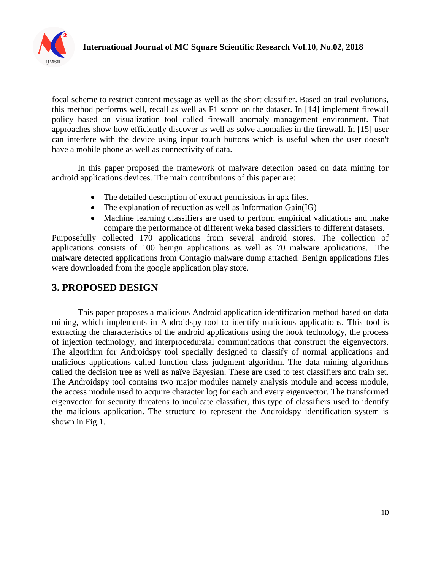

focal scheme to restrict content message as well as the short classifier. Based on trail evolutions, this method performs well, recall as well as F1 score on the dataset. In [14] implement firewall policy based on visualization tool called firewall anomaly management environment. That approaches show how efficiently discover as well as solve anomalies in the firewall. In [15] user can interfere with the device using input touch buttons which is useful when the user doesn't have a mobile phone as well as connectivity of data.

In this paper proposed the framework of malware detection based on data mining for android applications devices. The main contributions of this paper are:

- The detailed description of extract permissions in apk files.
- The explanation of reduction as well as Information Gain(IG)
- Machine learning classifiers are used to perform empirical validations and make compare the performance of different weka based classifiers to different datasets.

Purposefully collected 170 applications from several android stores. The collection of applications consists of 100 benign applications as well as 70 malware applications. The malware detected applications from Contagio malware dump attached. Benign applications files were downloaded from the google application play store.

### **3. PROPOSED DESIGN**

This paper proposes a malicious Android application identification method based on data mining, which implements in Androidspy tool to identify malicious applications. This tool is extracting the characteristics of the android applications using the hook technology, the process of injection technology, and interproceduralal communications that construct the eigenvectors. The algorithm for Androidspy tool specially designed to classify of normal applications and malicious applications called function class judgment algorithm. The data mining algorithms called the decision tree as well as naïve Bayesian. These are used to test classifiers and train set. The Androidspy tool contains two major modules namely analysis module and access module, the access module used to acquire character log for each and every eigenvector. The transformed eigenvector for security threatens to inculcate classifier, this type of classifiers used to identify the malicious application. The structure to represent the Androidspy identification system is shown in Fig.1.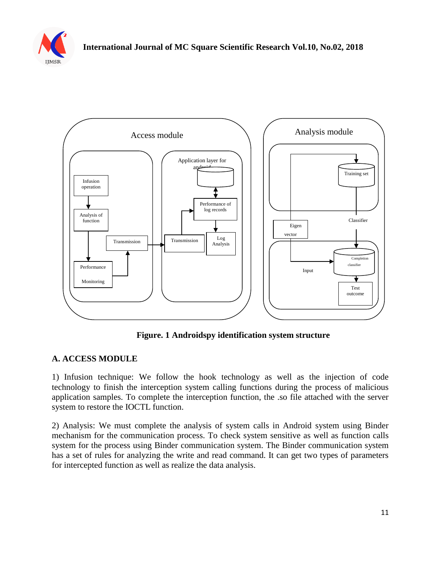



**Figure. 1 Androidspy identification system structure**

#### **A. ACCESS MODULE**

1) Infusion technique: We follow the hook technology as well as the injection of code technology to finish the interception system calling functions during the process of malicious application samples. To complete the interception function, the .so file attached with the server system to restore the IOCTL function.

2) Analysis: We must complete the analysis of system calls in Android system using Binder mechanism for the communication process. To check system sensitive as well as function calls system for the process using Binder communication system. The Binder communication system has a set of rules for analyzing the write and read command. It can get two types of parameters for intercepted function as well as realize the data analysis.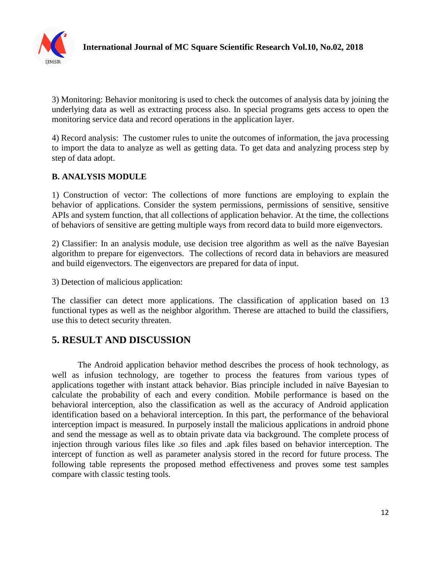

3) Monitoring: Behavior monitoring is used to check the outcomes of analysis data by joining the underlying data as well as extracting process also. In special programs gets access to open the monitoring service data and record operations in the application layer.

4) Record analysis: The customer rules to unite the outcomes of information, the java processing to import the data to analyze as well as getting data. To get data and analyzing process step by step of data adopt.

#### **B. ANALYSIS MODULE**

1) Construction of vector: The collections of more functions are employing to explain the behavior of applications. Consider the system permissions, permissions of sensitive, sensitive APIs and system function, that all collections of application behavior. At the time, the collections of behaviors of sensitive are getting multiple ways from record data to build more eigenvectors.

2) Classifier: In an analysis module, use decision tree algorithm as well as the naïve Bayesian algorithm to prepare for eigenvectors. The collections of record data in behaviors are measured and build eigenvectors. The eigenvectors are prepared for data of input.

3) Detection of malicious application:

The classifier can detect more applications. The classification of application based on 13 functional types as well as the neighbor algorithm. Therese are attached to build the classifiers, use this to detect security threaten.

## **5. RESULT AND DISCUSSION**

The Android application behavior method describes the process of hook technology, as well as infusion technology, are together to process the features from various types of applications together with instant attack behavior. Bias principle included in naïve Bayesian to calculate the probability of each and every condition. Mobile performance is based on the behavioral interception, also the classification as well as the accuracy of Android application identification based on a behavioral interception. In this part, the performance of the behavioral interception impact is measured. In purposely install the malicious applications in android phone and send the message as well as to obtain private data via background. The complete process of injection through various files like .so files and .apk files based on behavior interception. The intercept of function as well as parameter analysis stored in the record for future process. The following table represents the proposed method effectiveness and proves some test samples compare with classic testing tools.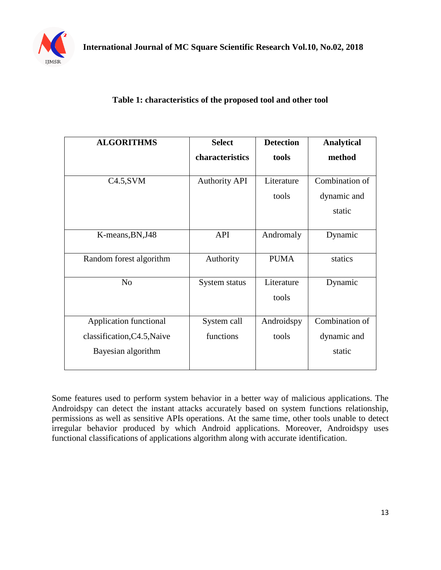

|  | Table 1: characteristics of the proposed tool and other tool |
|--|--------------------------------------------------------------|
|--|--------------------------------------------------------------|

| <b>ALGORITHMS</b>           | <b>Select</b>        | <b>Detection</b>    | <b>Analytical</b> |
|-----------------------------|----------------------|---------------------|-------------------|
|                             | characteristics      | tools               | method            |
|                             |                      |                     |                   |
| $C4.5$ , SVM                | <b>Authority API</b> | Literature          | Combination of    |
|                             |                      | tools               | dynamic and       |
|                             |                      |                     | static            |
| K-means, BN, J48            | <b>API</b>           | Andromaly           | Dynamic           |
| Random forest algorithm     | Authority            | <b>PUMA</b>         | statics           |
| N <sub>o</sub>              | System status        | Literature<br>tools | Dynamic           |
| Application functional      | System call          | Androidspy          | Combination of    |
| classification, C4.5, Naive | functions            | tools               | dynamic and       |
| Bayesian algorithm          |                      |                     | static            |

Some features used to perform system behavior in a better way of malicious applications. The Androidspy can detect the instant attacks accurately based on system functions relationship, permissions as well as sensitive APIs operations. At the same time, other tools unable to detect irregular behavior produced by which Android applications. Moreover, Androidspy uses functional classifications of applications algorithm along with accurate identification.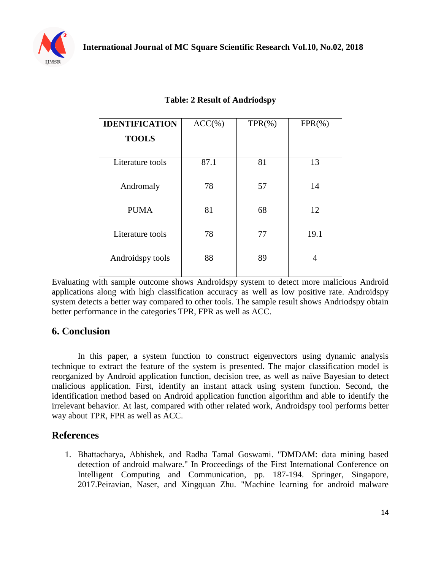

| <b>IDENTIFICATION</b> | $ACC(\% )$ | $TPR(\% )$ | $FPR(\% )$ |
|-----------------------|------------|------------|------------|
| <b>TOOLS</b>          |            |            |            |
| Literature tools      | 87.1       | 81         | 13         |
|                       |            |            |            |
| Andromaly             | 78         | 57         | 14         |
| <b>PUMA</b>           | 81         | 68         | 12         |
| Literature tools      | 78         | 77         | 19.1       |
| Androidspy tools      | 88         | 89         | 4          |

#### **Table: 2 Result of Andriodspy**

Evaluating with sample outcome shows Androidspy system to detect more malicious Android applications along with high classification accuracy as well as low positive rate. Androidspy system detects a better way compared to other tools. The sample result shows Andriodspy obtain better performance in the categories TPR, FPR as well as ACC.

#### **6. Conclusion**

In this paper, a system function to construct eigenvectors using dynamic analysis technique to extract the feature of the system is presented. The major classification model is reorganized by Android application function, decision tree, as well as naïve Bayesian to detect malicious application. First, identify an instant attack using system function. Second, the identification method based on Android application function algorithm and able to identify the irrelevant behavior. At last, compared with other related work, Androidspy tool performs better way about TPR, FPR as well as ACC.

#### **References**

1. Bhattacharya, Abhishek, and Radha Tamal Goswami. "DMDAM: data mining based detection of android malware." In Proceedings of the First International Conference on Intelligent Computing and Communication, pp. 187-194. Springer, Singapore, 2017.Peiravian, Naser, and Xingquan Zhu. "Machine learning for android malware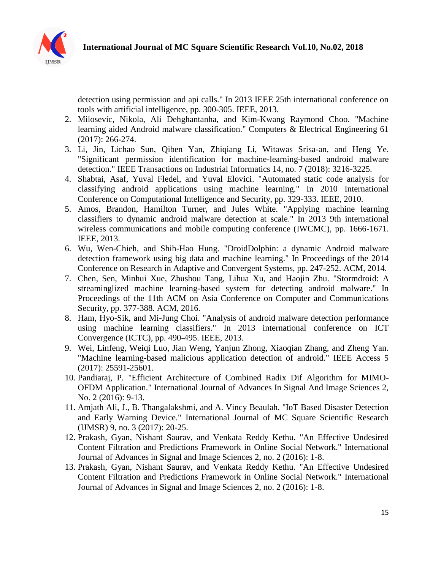

detection using permission and api calls." In 2013 IEEE 25th international conference on tools with artificial intelligence, pp. 300-305. IEEE, 2013.

- 2. Milosevic, Nikola, Ali Dehghantanha, and Kim-Kwang Raymond Choo. "Machine learning aided Android malware classification." Computers & Electrical Engineering 61 (2017): 266-274.
- 3. Li, Jin, Lichao Sun, Qiben Yan, Zhiqiang Li, Witawas Srisa-an, and Heng Ye. "Significant permission identification for machine-learning-based android malware detection." IEEE Transactions on Industrial Informatics 14, no. 7 (2018): 3216-3225.
- 4. Shabtai, Asaf, Yuval Fledel, and Yuval Elovici. "Automated static code analysis for classifying android applications using machine learning." In 2010 International Conference on Computational Intelligence and Security, pp. 329-333. IEEE, 2010.
- 5. Amos, Brandon, Hamilton Turner, and Jules White. "Applying machine learning classifiers to dynamic android malware detection at scale." In 2013 9th international wireless communications and mobile computing conference (IWCMC), pp. 1666-1671. IEEE, 2013.
- 6. Wu, Wen-Chieh, and Shih-Hao Hung. "DroidDolphin: a dynamic Android malware detection framework using big data and machine learning." In Proceedings of the 2014 Conference on Research in Adaptive and Convergent Systems, pp. 247-252. ACM, 2014.
- 7. Chen, Sen, Minhui Xue, Zhushou Tang, Lihua Xu, and Haojin Zhu. "Stormdroid: A streaminglized machine learning-based system for detecting android malware." In Proceedings of the 11th ACM on Asia Conference on Computer and Communications Security, pp. 377-388. ACM, 2016.
- 8. Ham, Hyo-Sik, and Mi-Jung Choi. "Analysis of android malware detection performance using machine learning classifiers." In 2013 international conference on ICT Convergence (ICTC), pp. 490-495. IEEE, 2013.
- 9. Wei, Linfeng, Weiqi Luo, Jian Weng, Yanjun Zhong, Xiaoqian Zhang, and Zheng Yan. "Machine learning-based malicious application detection of android." IEEE Access 5 (2017): 25591-25601.
- 10. Pandiaraj, P. "Efficient Architecture of Combined Radix Dif Algorithm for MIMO-OFDM Application." International Journal of Advances In Signal And Image Sciences 2, No. 2 (2016): 9-13.
- 11. Amjath Ali, J., B. Thangalakshmi, and A. Vincy Beaulah. "IoT Based Disaster Detection and Early Warning Device." International Journal of MC Square Scientific Research (IJMSR) 9, no. 3 (2017): 20-25.
- 12. Prakash, Gyan, Nishant Saurav, and Venkata Reddy Kethu. "An Effective Undesired Content Filtration and Predictions Framework in Online Social Network." International Journal of Advances in Signal and Image Sciences 2, no. 2 (2016): 1-8.
- 13. Prakash, Gyan, Nishant Saurav, and Venkata Reddy Kethu. "An Effective Undesired Content Filtration and Predictions Framework in Online Social Network." International Journal of Advances in Signal and Image Sciences 2, no. 2 (2016): 1-8.